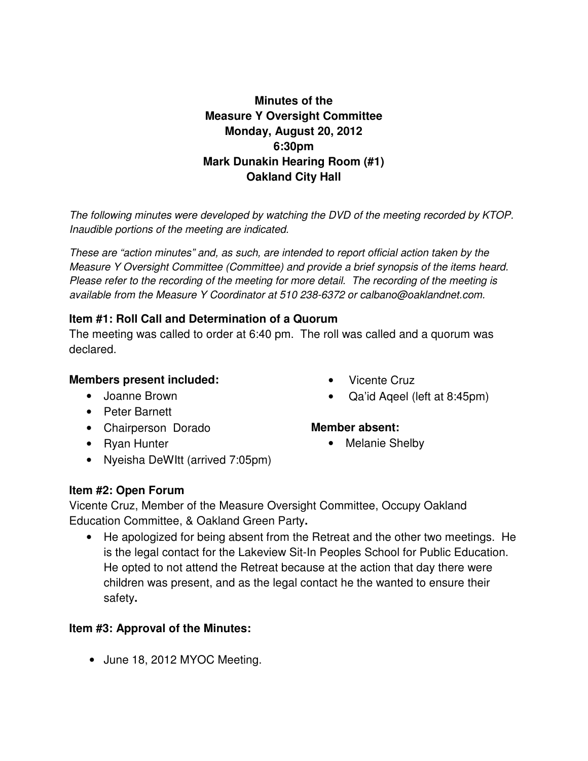# **Minutes of the Measure Y Oversight Committee Monday, August 20, 2012 6:30pm Mark Dunakin Hearing Room (#1) Oakland City Hall**

The following minutes were developed by watching the DVD of the meeting recorded by KTOP. Inaudible portions of the meeting are indicated.

These are "action minutes" and, as such, are intended to report official action taken by the Measure Y Oversight Committee (Committee) and provide a brief synopsis of the items heard. Please refer to the recording of the meeting for more detail. The recording of the meeting is available from the Measure Y Coordinator at 510 238-6372 or calbano@oaklandnet.com.

#### **Item #1: Roll Call and Determination of a Quorum**

The meeting was called to order at 6:40 pm. The roll was called and a quorum was declared.

#### **Members present included:**

- Joanne Brown
- Peter Barnett
- Chairperson Dorado
- Ryan Hunter
- Nyeisha DeWItt (arrived 7:05pm)
- Vicente Cruz
- Qa'id Aqeel (left at 8:45pm)

#### **Member absent:**

• Melanie Shelby

#### **Item #2: Open Forum**

Vicente Cruz, Member of the Measure Oversight Committee, Occupy Oakland Education Committee, & Oakland Green Party**.** 

• He apologized for being absent from the Retreat and the other two meetings. He is the legal contact for the Lakeview Sit-In Peoples School for Public Education. He opted to not attend the Retreat because at the action that day there were children was present, and as the legal contact he the wanted to ensure their safety**.** 

## **Item #3: Approval of the Minutes:**

• June 18, 2012 MYOC Meeting.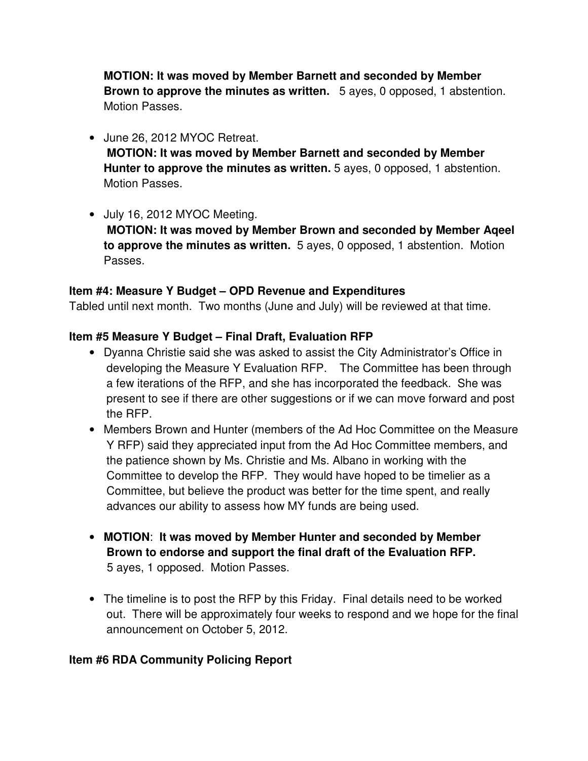**MOTION: It was moved by Member Barnett and seconded by Member Brown to approve the minutes as written.** 5 ayes, 0 opposed, 1 abstention. Motion Passes.

- June 26, 2012 MYOC Retreat.  **MOTION: It was moved by Member Barnett and seconded by Member Hunter to approve the minutes as written.** 5 ayes, 0 opposed, 1 abstention. Motion Passes.
- July 16, 2012 MYOC Meeting.

 **MOTION: It was moved by Member Brown and seconded by Member Aqeel to approve the minutes as written.** 5 ayes, 0 opposed, 1 abstention. Motion Passes.

## **Item #4: Measure Y Budget – OPD Revenue and Expenditures**

Tabled until next month. Two months (June and July) will be reviewed at that time.

## **Item #5 Measure Y Budget – Final Draft, Evaluation RFP**

- Dyanna Christie said she was asked to assist the City Administrator's Office in developing the Measure Y Evaluation RFP. The Committee has been through a few iterations of the RFP, and she has incorporated the feedback. She was present to see if there are other suggestions or if we can move forward and post the RFP.
- Members Brown and Hunter (members of the Ad Hoc Committee on the Measure Y RFP) said they appreciated input from the Ad Hoc Committee members, and the patience shown by Ms. Christie and Ms. Albano in working with the Committee to develop the RFP. They would have hoped to be timelier as a Committee, but believe the product was better for the time spent, and really advances our ability to assess how MY funds are being used.
- **MOTION**: **It was moved by Member Hunter and seconded by Member Brown to endorse and support the final draft of the Evaluation RFP.** 5 ayes, 1 opposed. Motion Passes.
- The timeline is to post the RFP by this Friday. Final details need to be worked out. There will be approximately four weeks to respond and we hope for the final announcement on October 5, 2012.

## **Item #6 RDA Community Policing Report**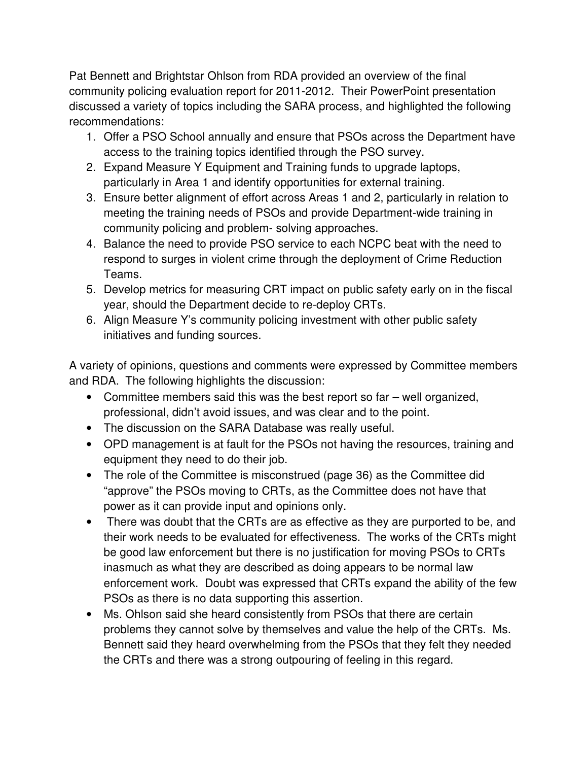Pat Bennett and Brightstar Ohlson from RDA provided an overview of the final community policing evaluation report for 2011-2012. Their PowerPoint presentation discussed a variety of topics including the SARA process, and highlighted the following recommendations:

- 1. Offer a PSO School annually and ensure that PSOs across the Department have access to the training topics identified through the PSO survey.
- 2. Expand Measure Y Equipment and Training funds to upgrade laptops, particularly in Area 1 and identify opportunities for external training.
- 3. Ensure better alignment of effort across Areas 1 and 2, particularly in relation to meeting the training needs of PSOs and provide Department-wide training in community policing and problem- solving approaches.
- 4. Balance the need to provide PSO service to each NCPC beat with the need to respond to surges in violent crime through the deployment of Crime Reduction Teams.
- 5. Develop metrics for measuring CRT impact on public safety early on in the fiscal year, should the Department decide to re-deploy CRTs.
- 6. Align Measure Y's community policing investment with other public safety initiatives and funding sources.

A variety of opinions, questions and comments were expressed by Committee members and RDA. The following highlights the discussion:

- Committee members said this was the best report so far well organized, professional, didn't avoid issues, and was clear and to the point.
- The discussion on the SARA Database was really useful.
- OPD management is at fault for the PSOs not having the resources, training and equipment they need to do their job.
- The role of the Committee is misconstrued (page 36) as the Committee did "approve" the PSOs moving to CRTs, as the Committee does not have that power as it can provide input and opinions only.
- There was doubt that the CRTs are as effective as they are purported to be, and their work needs to be evaluated for effectiveness. The works of the CRTs might be good law enforcement but there is no justification for moving PSOs to CRTs inasmuch as what they are described as doing appears to be normal law enforcement work. Doubt was expressed that CRTs expand the ability of the few PSOs as there is no data supporting this assertion.
- Ms. Ohlson said she heard consistently from PSOs that there are certain problems they cannot solve by themselves and value the help of the CRTs. Ms. Bennett said they heard overwhelming from the PSOs that they felt they needed the CRTs and there was a strong outpouring of feeling in this regard.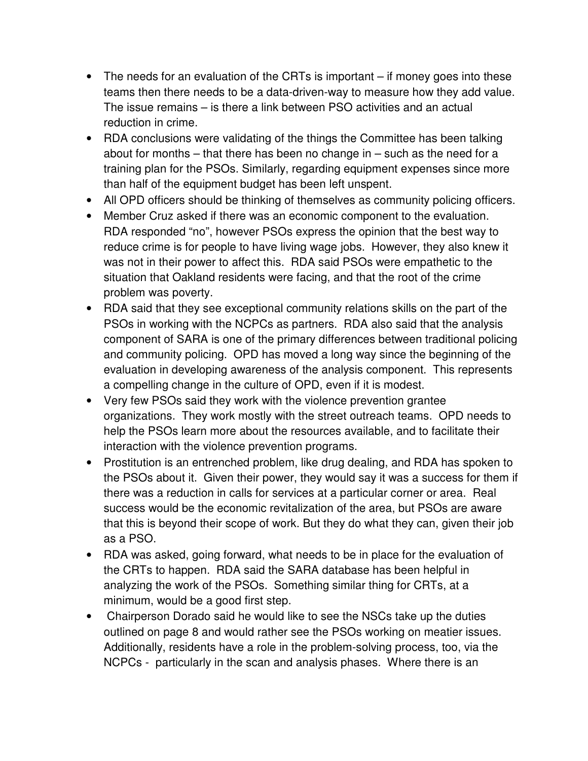- The needs for an evaluation of the CRTs is important if money goes into these teams then there needs to be a data-driven-way to measure how they add value. The issue remains – is there a link between PSO activities and an actual reduction in crime.
- RDA conclusions were validating of the things the Committee has been talking about for months – that there has been no change in – such as the need for a training plan for the PSOs. Similarly, regarding equipment expenses since more than half of the equipment budget has been left unspent.
- All OPD officers should be thinking of themselves as community policing officers.
- Member Cruz asked if there was an economic component to the evaluation. RDA responded "no", however PSOs express the opinion that the best way to reduce crime is for people to have living wage jobs. However, they also knew it was not in their power to affect this. RDA said PSOs were empathetic to the situation that Oakland residents were facing, and that the root of the crime problem was poverty.
- RDA said that they see exceptional community relations skills on the part of the PSOs in working with the NCPCs as partners. RDA also said that the analysis component of SARA is one of the primary differences between traditional policing and community policing. OPD has moved a long way since the beginning of the evaluation in developing awareness of the analysis component. This represents a compelling change in the culture of OPD, even if it is modest.
- Very few PSOs said they work with the violence prevention grantee organizations. They work mostly with the street outreach teams. OPD needs to help the PSOs learn more about the resources available, and to facilitate their interaction with the violence prevention programs.
- Prostitution is an entrenched problem, like drug dealing, and RDA has spoken to the PSOs about it. Given their power, they would say it was a success for them if there was a reduction in calls for services at a particular corner or area. Real success would be the economic revitalization of the area, but PSOs are aware that this is beyond their scope of work. But they do what they can, given their job as a PSO.
- RDA was asked, going forward, what needs to be in place for the evaluation of the CRTs to happen. RDA said the SARA database has been helpful in analyzing the work of the PSOs. Something similar thing for CRTs, at a minimum, would be a good first step.
- Chairperson Dorado said he would like to see the NSCs take up the duties outlined on page 8 and would rather see the PSOs working on meatier issues. Additionally, residents have a role in the problem-solving process, too, via the NCPCs - particularly in the scan and analysis phases. Where there is an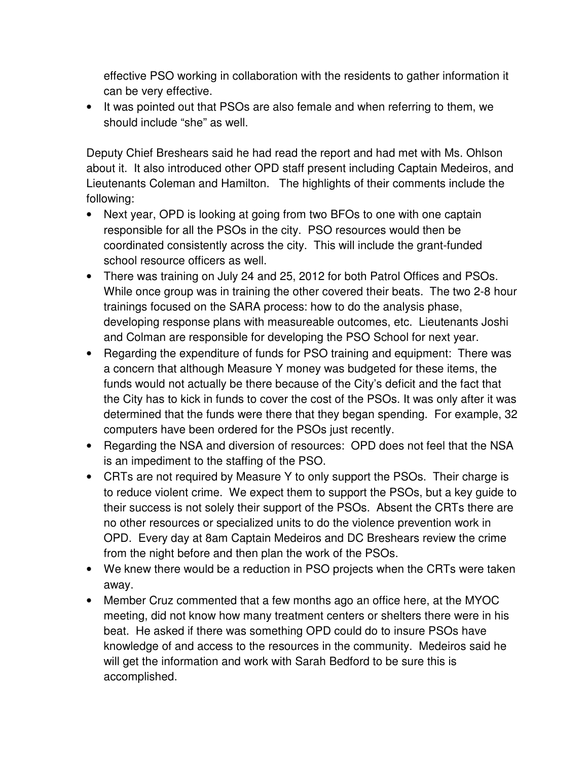effective PSO working in collaboration with the residents to gather information it can be very effective.

• It was pointed out that PSOs are also female and when referring to them, we should include "she" as well.

Deputy Chief Breshears said he had read the report and had met with Ms. Ohlson about it. It also introduced other OPD staff present including Captain Medeiros, and Lieutenants Coleman and Hamilton. The highlights of their comments include the following:

- Next year, OPD is looking at going from two BFOs to one with one captain responsible for all the PSOs in the city. PSO resources would then be coordinated consistently across the city. This will include the grant-funded school resource officers as well.
- There was training on July 24 and 25, 2012 for both Patrol Offices and PSOs. While once group was in training the other covered their beats. The two 2-8 hour trainings focused on the SARA process: how to do the analysis phase, developing response plans with measureable outcomes, etc. Lieutenants Joshi and Colman are responsible for developing the PSO School for next year.
- Regarding the expenditure of funds for PSO training and equipment: There was a concern that although Measure Y money was budgeted for these items, the funds would not actually be there because of the City's deficit and the fact that the City has to kick in funds to cover the cost of the PSOs. It was only after it was determined that the funds were there that they began spending. For example, 32 computers have been ordered for the PSOs just recently.
- Regarding the NSA and diversion of resources: OPD does not feel that the NSA is an impediment to the staffing of the PSO.
- CRTs are not required by Measure Y to only support the PSOs. Their charge is to reduce violent crime. We expect them to support the PSOs, but a key guide to their success is not solely their support of the PSOs. Absent the CRTs there are no other resources or specialized units to do the violence prevention work in OPD. Every day at 8am Captain Medeiros and DC Breshears review the crime from the night before and then plan the work of the PSOs.
- We knew there would be a reduction in PSO projects when the CRTs were taken away.
- Member Cruz commented that a few months ago an office here, at the MYOC meeting, did not know how many treatment centers or shelters there were in his beat. He asked if there was something OPD could do to insure PSOs have knowledge of and access to the resources in the community. Medeiros said he will get the information and work with Sarah Bedford to be sure this is accomplished.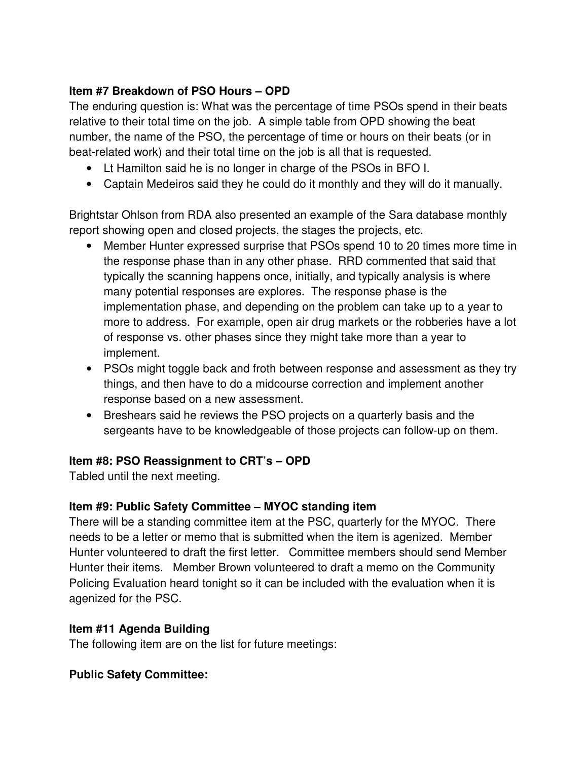## **Item #7 Breakdown of PSO Hours – OPD**

The enduring question is: What was the percentage of time PSOs spend in their beats relative to their total time on the job. A simple table from OPD showing the beat number, the name of the PSO, the percentage of time or hours on their beats (or in beat-related work) and their total time on the job is all that is requested.

- Lt Hamilton said he is no longer in charge of the PSOs in BFO I.
- Captain Medeiros said they he could do it monthly and they will do it manually.

Brightstar Ohlson from RDA also presented an example of the Sara database monthly report showing open and closed projects, the stages the projects, etc.

- Member Hunter expressed surprise that PSOs spend 10 to 20 times more time in the response phase than in any other phase. RRD commented that said that typically the scanning happens once, initially, and typically analysis is where many potential responses are explores. The response phase is the implementation phase, and depending on the problem can take up to a year to more to address. For example, open air drug markets or the robberies have a lot of response vs. other phases since they might take more than a year to implement.
- PSOs might toggle back and froth between response and assessment as they try things, and then have to do a midcourse correction and implement another response based on a new assessment.
- Breshears said he reviews the PSO projects on a quarterly basis and the sergeants have to be knowledgeable of those projects can follow-up on them.

## **Item #8: PSO Reassignment to CRT's – OPD**

Tabled until the next meeting.

## **Item #9: Public Safety Committee – MYOC standing item**

There will be a standing committee item at the PSC, quarterly for the MYOC. There needs to be a letter or memo that is submitted when the item is agenized. Member Hunter volunteered to draft the first letter. Committee members should send Member Hunter their items. Member Brown volunteered to draft a memo on the Community Policing Evaluation heard tonight so it can be included with the evaluation when it is agenized for the PSC.

#### **Item #11 Agenda Building**

The following item are on the list for future meetings:

## **Public Safety Committee:**